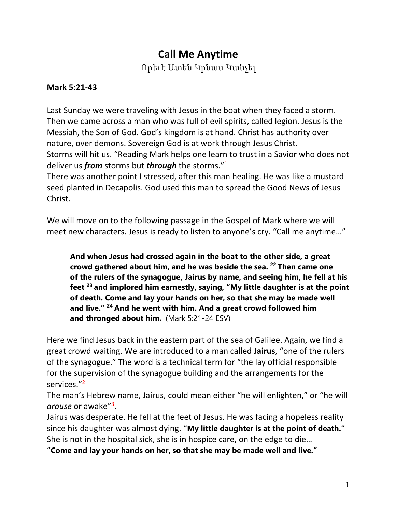# **Call Me Anytime**

Որեւէ Ատեն Կրնաս Կանչել

### **Mark 5:21-43**

Last Sunday we were traveling with Jesus in the boat when they faced a storm. Then we came across a man who was full of evil spirits, called legion. Jesus is the Messiah, the Son of God. God's kingdom is at hand. Christ has authority over nature, over demons. Sovereign God is at work through Jesus Christ. Storms will hit us. "Reading Mark helps one learn to trust in a Savior who does not deliver us *from* storms but *through* the storms."1

There was another point I stressed, after this man healing. He was like a mustard seed planted in Decapolis. God used this man to spread the Good News of Jesus Christ.

We will move on to the following passage in the Gospel of Mark where we will meet new characters. Jesus is ready to listen to anyone's cry. "Call me anytime…"

**And when Jesus had crossed again in the boat to the other side, a great crowd gathered about him, and he was beside the sea. <sup>22</sup> Then came one of the rulers of the synagogue, Jairus by name, and seeing him, he fell at his feet <sup>23</sup> and implored him earnestly, saying, "My little daughter is at the point of death. Come and lay your hands on her, so that she may be made well and live." <sup>24</sup> And he went with him. And a great crowd followed him and thronged about him.** (Mark 5:21-24 ESV)

Here we find Jesus back in the eastern part of the sea of Galilee. Again, we find a great crowd waiting. We are introduced to a man called **Jairus**, "one of the rulers of the synagogue." The word is a technical term for "the lay official responsible for the supervision of the synagogue building and the arrangements for the services."2

The man's Hebrew name, Jairus, could mean either "he will enlighten," or "he will *arouse* or awake"3.

Jairus was desperate. He fell at the feet of Jesus. He was facing a hopeless reality since his daughter was almost dying. **"My little daughter is at the point of death."** She is not in the hospital sick, she is in hospice care, on the edge to die…

**"Come and lay your hands on her, so that she may be made well and live."**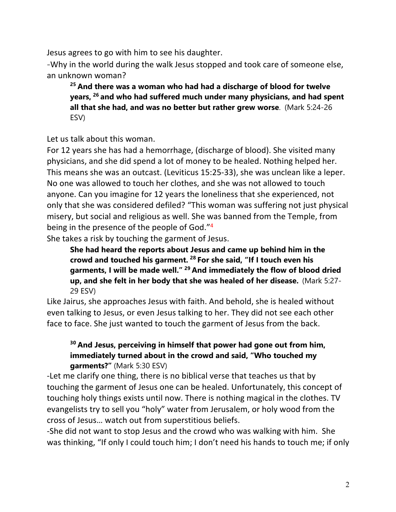Jesus agrees to go with him to see his daughter.

-Why in the world during the walk Jesus stopped and took care of someone else, an unknown woman?

**<sup>25</sup> And there was a woman who had had a discharge of blood for twelve years, <sup>26</sup> and who had suffered much under many physicians, and had spent all that she had, and was no better but rather grew worse**. (Mark 5:24-26 ESV)

Let us talk about this woman.

For 12 years she has had a hemorrhage, (discharge of blood). She visited many physicians, and she did spend a lot of money to be healed. Nothing helped her. This means she was an outcast. (Leviticus 15:25-33), she was unclean like a leper. No one was allowed to touch her clothes, and she was not allowed to touch anyone. Can you imagine for 12 years the loneliness that she experienced, not only that she was considered defiled? "This woman was suffering not just physical misery, but social and religious as well. She was banned from the Temple, from being in the presence of the people of God."4

She takes a risk by touching the garment of Jesus.

**She had heard the reports about Jesus and came up behind him in the crowd and touched his garment. <sup>28</sup> For she said, "If I touch even his garments, I will be made well." <sup>29</sup> And immediately the flow of blood dried up, and she felt in her body that she was healed of her disease.** (Mark 5:27- 29 ESV)

Like Jairus, she approaches Jesus with faith. And behold, she is healed without even talking to Jesus, or even Jesus talking to her. They did not see each other face to face. She just wanted to touch the garment of Jesus from the back.

## **<sup>30</sup> And Jesus, perceiving in himself that power had gone out from him, immediately turned about in the crowd and said, "Who touched my garments?"** (Mark 5:30 ESV)

-Let me clarify one thing, there is no biblical verse that teaches us that by touching the garment of Jesus one can be healed. Unfortunately, this concept of touching holy things exists until now. There is nothing magical in the clothes. TV evangelists try to sell you "holy" water from Jerusalem, or holy wood from the cross of Jesus… watch out from superstitious beliefs.

-She did not want to stop Jesus and the crowd who was walking with him. She was thinking, "If only I could touch him; I don't need his hands to touch me; if only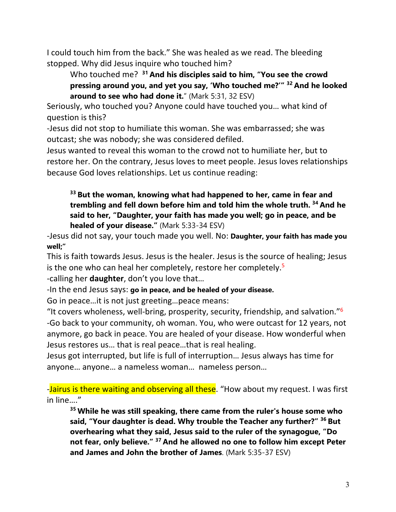I could touch him from the back." She was healed as we read. The bleeding stopped. Why did Jesus inquire who touched him?

Who touched me? **<sup>31</sup> And his disciples said to him, "You see the crowd pressing around you, and yet you say, 'Who touched me?'" <sup>32</sup> And he looked around to see who had done it.**" (Mark 5:31, 32 ESV)

Seriously, who touched you? Anyone could have touched you… what kind of question is this?

-Jesus did not stop to humiliate this woman. She was embarrassed; she was outcast; she was nobody; she was considered defiled.

Jesus wanted to reveal this woman to the crowd not to humiliate her, but to restore her. On the contrary, Jesus loves to meet people. Jesus loves relationships because God loves relationships. Let us continue reading:

**<sup>33</sup> But the woman, knowing what had happened to her, came in fear and trembling and fell down before him and told him the whole truth. <sup>34</sup> And he said to her, "Daughter, your faith has made you well; go in peace, and be healed of your disease."** (Mark 5:33-34 ESV)

-Jesus did not say, your touch made you well. No: **Daughter, your faith has made you well;"**

This is faith towards Jesus. Jesus is the healer. Jesus is the source of healing; Jesus is the one who can heal her completely, restore her completely.<sup>5</sup>

-calling her **daughter**, don't you love that…

-In the end Jesus says: **go in peace, and be healed of your disease.**

Go in peace…it is not just greeting…peace means:

"It covers wholeness, well-bring, prosperity, security, friendship, and salvation." $6$ -Go back to your community, oh woman. You, who were outcast for 12 years, not anymore, go back in peace. You are healed of your disease. How wonderful when Jesus restores us… that is real peace…that is real healing.

Jesus got interrupted, but life is full of interruption… Jesus always has time for anyone… anyone… a nameless woman… nameless person…

-Jairus is there waiting and observing all these. "How about my request. I was first in line…."

**<sup>35</sup> While he was still speaking, there came from the ruler's house some who said, "Your daughter is dead. Why trouble the Teacher any further?" <sup>36</sup> But overhearing what they said, Jesus said to the ruler of the synagogue, "Do not fear, only believe." <sup>37</sup> And he allowed no one to follow him except Peter and James and John the brother of James**. (Mark 5:35-37 ESV)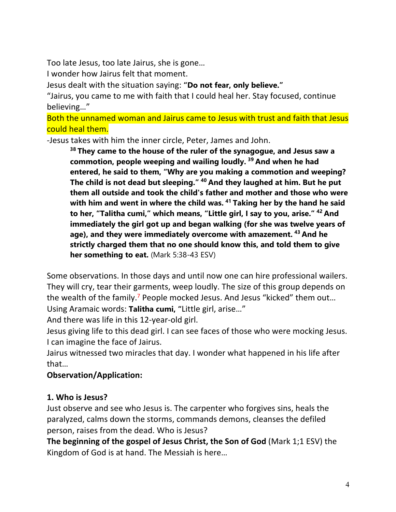Too late Jesus, too late Jairus, she is gone…

I wonder how Jairus felt that moment.

Jesus dealt with the situation saying: **"Do not fear, only believe."**

"Jairus, you came to me with faith that I could heal her. Stay focused, continue believing…"

Both the unnamed woman and Jairus came to Jesus with trust and faith that Jesus could heal them.

-Jesus takes with him the inner circle, Peter, James and John.

**<sup>38</sup> They came to the house of the ruler of the synagogue, and Jesus saw a commotion, people weeping and wailing loudly. <sup>39</sup> And when he had entered, he said to them, "Why are you making a commotion and weeping? The child is not dead but sleeping." <sup>40</sup> And they laughed at him. But he put them all outside and took the child's father and mother and those who were with him and went in where the child was. <sup>41</sup> Taking her by the hand he said to her, "Talitha cumi," which means, "Little girl, I say to you, arise." <sup>42</sup> And immediately the girl got up and began walking (for she was twelve years of age), and they were immediately overcome with amazement. <sup>43</sup> And he strictly charged them that no one should know this, and told them to give her something to eat.** (Mark 5:38-43 ESV)

Some observations. In those days and until now one can hire professional wailers. They will cry, tear their garments, weep loudly. The size of this group depends on the wealth of the family.<sup>7</sup> People mocked Jesus. And Jesus "kicked" them out... Using Aramaic words: **Talitha cumi, "**Little girl, arise…"

And there was life in this 12-year-old girl.

Jesus giving life to this dead girl. I can see faces of those who were mocking Jesus. I can imagine the face of Jairus.

Jairus witnessed two miracles that day. I wonder what happened in his life after that…

### **Observation/Application:**

### **1. Who is Jesus?**

Just observe and see who Jesus is. The carpenter who forgives sins, heals the paralyzed, calms down the storms, commands demons, cleanses the defiled person, raises from the dead. Who is Jesus?

**The beginning of the gospel of Jesus Christ, the Son of God** (Mark 1;1 ESV) the Kingdom of God is at hand. The Messiah is here…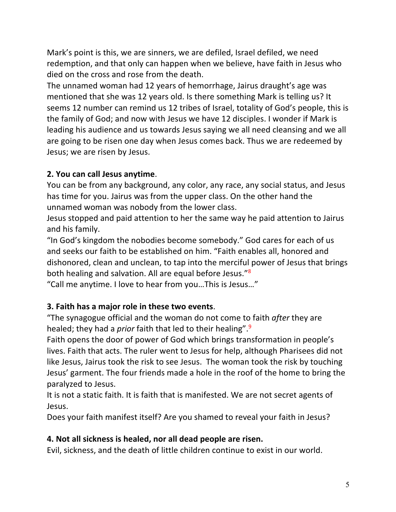Mark's point is this, we are sinners, we are defiled, Israel defiled, we need redemption, and that only can happen when we believe, have faith in Jesus who died on the cross and rose from the death.

The unnamed woman had 12 years of hemorrhage, Jairus draught's age was mentioned that she was 12 years old. Is there something Mark is telling us? It seems 12 number can remind us 12 tribes of Israel, totality of God's people, this is the family of God; and now with Jesus we have 12 disciples. I wonder if Mark is leading his audience and us towards Jesus saying we all need cleansing and we all are going to be risen one day when Jesus comes back. Thus we are redeemed by Jesus; we are risen by Jesus.

## **2. You can call Jesus anytime**.

You can be from any background, any color, any race, any social status, and Jesus has time for you. Jairus was from the upper class. On the other hand the unnamed woman was nobody from the lower class.

Jesus stopped and paid attention to her the same way he paid attention to Jairus and his family.

"In God's kingdom the nobodies become somebody." God cares for each of us and seeks our faith to be established on him. "Faith enables all, honored and dishonored, clean and unclean, to tap into the merciful power of Jesus that brings both healing and salvation. All are equal before Jesus."8

"Call me anytime. I love to hear from you…This is Jesus…"

## **3. Faith has a major role in these two events**.

"The synagogue official and the woman do not come to faith *after* they are healed; they had a *prior* faith that led to their healing".<sup>9</sup>

Faith opens the door of power of God which brings transformation in people's lives. Faith that acts. The ruler went to Jesus for help, although Pharisees did not like Jesus, Jairus took the risk to see Jesus. The woman took the risk by touching Jesus' garment. The four friends made a hole in the roof of the home to bring the paralyzed to Jesus.

It is not a static faith. It is faith that is manifested. We are not secret agents of Jesus.

Does your faith manifest itself? Are you shamed to reveal your faith in Jesus?

### **4. Not all sickness is healed, nor all dead people are risen.**

Evil, sickness, and the death of little children continue to exist in our world.